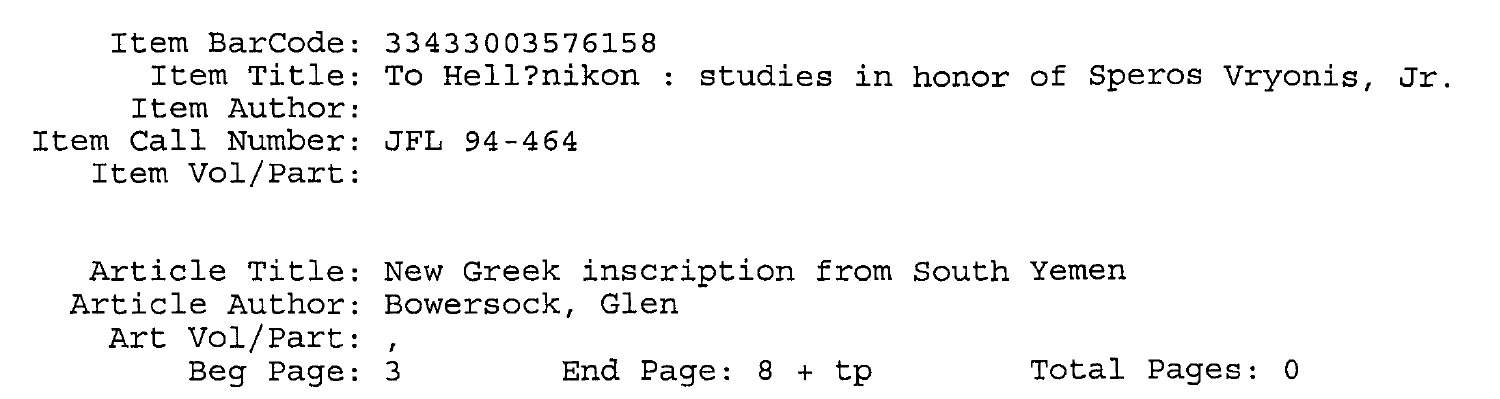```
Item BarCode: 33433003576158 
      Item Title: To Hell?nikon : studies in honor of Speros Vryonis, Jr.
     Item Author: 
Item Call Number: JFL 94-464 
  Item Vol/Part:
```

```
Article Title: New Greek inscription from South Yemen 
Article Author: Bowersock, Glen 
 Art Vol/Part: , 
     Beg Page: 3 End Page: 8 + tp Total Pages: 0
```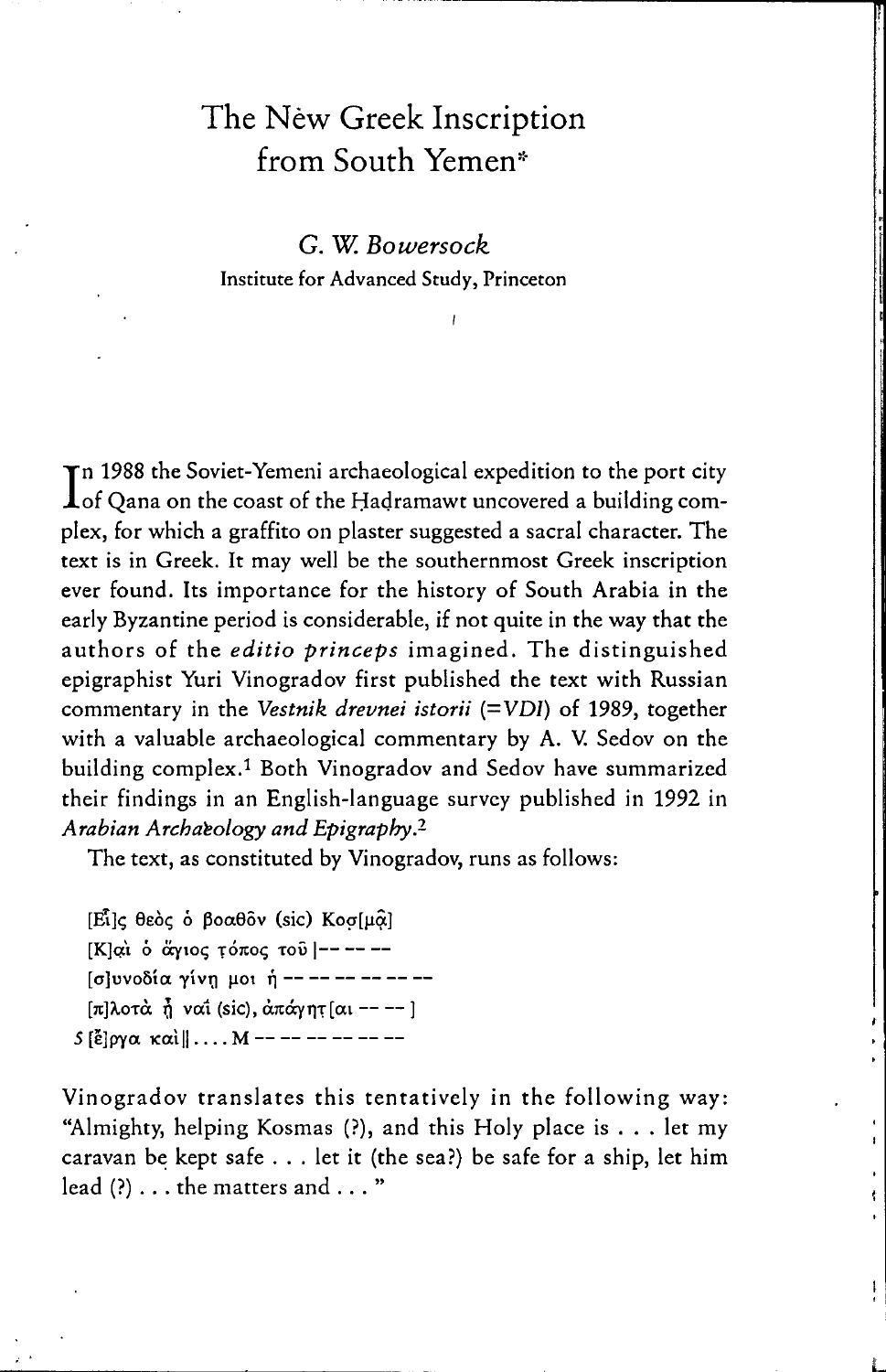## The New Greek Inscription from South Yemen\*

G. W. Bowersock Institute for Advanced Study, Princeton

In 1988 the Soviet-Yemeni archaeological expedition to the port city<br>Iof Qana on the coast of the Hadramawt uncovered a building complex, for which a graffito on plaster suggested a sacral character. The text is in Greek. It may well be the southernmost Greek inscription ever found. Its importance for the history of South Arabia in the early Byzantine period is considerable, if not quite in the way that the authors of the editio princeps imagined. The distinguished epigraphist Yuri Vinogradov first published the text with Russian commentary in the Vestnik drevnei istorii (=VDI) of 1989, together with a valuable archaeological commentary by A. V. Sedov on the building complex.<sup>1</sup> Both Vinogradov and Sedov have summarized their findings in an English-language survey published in 1992 in Arabian Archaeology and Epigraphy.<sup>2</sup>

The text, as constituted by Vinogradov, runs as follows:

[Εί]ς θεός ό βοαθόν (sic) Κοσ[μα] [Κ]αι ο άγιος τόπος του ----- $\sigma$  |  $\sigma$  |  $\sigma$  |  $\sigma$  |  $\sigma$  |  $\sigma$  |  $\sigma$  |  $\sigma$  |  $\sigma$  |  $\sigma$  |  $\sigma$  |  $\sigma$  |  $\sigma$  |  $\sigma$  |  $\sigma$  |  $\sigma$  |  $\sigma$  |  $\sigma$  |  $\sigma$  |  $\sigma$  |  $\sigma$  |  $\sigma$  |  $\sigma$  |  $\sigma$  |  $\sigma$  |  $\sigma$  |  $\sigma$  |  $\sigma$  |  $\sigma$  |  $\sigma$  |  $\sigma$  |  $\sigma$  $[\pi]$ λοτά ή ναί (sic), απάγητ [αι ----] 5 [ἔ]ργα καὶ||.... Μ -- -- -- -- -- --

Vinogradov translates this tentatively in the following way: "Almighty, helping Kosmas (?), and this Holy place is . . . let my caravan be kept safe . . . let it (the sea?) be safe for a ship, let him lead (?) . . . the matters and . . . "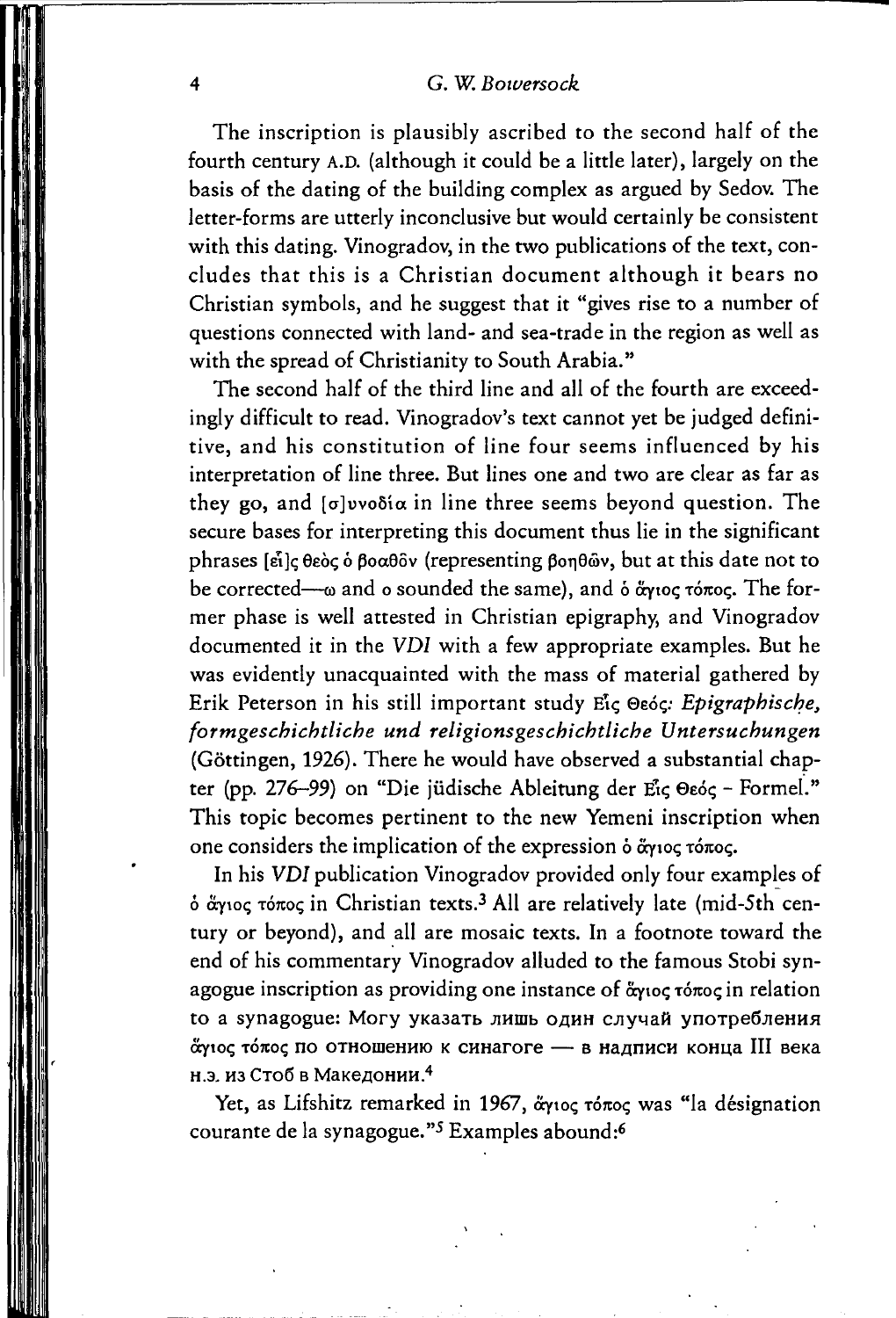## 4 G. W. *Bowersock*

The inscription is plausibly ascribed to the second half of the fourth century A.D. (although it could be a little later), largely on the basis of the dating of the building complex as argued by Sedov. The letter-forms are utterly inconclusive but would certainly be consistent with this dating. Vinogradov, in the two publications of the text, concludes that this is a Christian document although it bears no Christian symbols, and he suggest that it "gives rise to a number of questions connected with land- and sea-trade in the region as weil as with the spread of Christianity to South Arabia."

The second half of the third line and all of the fourth are exceedingly difficult to read. Vinogradov's text cannot yet be judged definitive, and his constitution of line four seems influenced by his interpretation of line three. But lines one and two are clear as far as they go, and  $\lceil \sigma \rceil$  volia in line three seems beyond question. The secure bases for interpreting this document thus lie in the significant phrases [εἶ]ς θεὸς ὁ βοαθδν (representing βοηθῶν, but at this date not to be corrected- $-\omega$  and o sounded the same), and  $\delta$   $\alpha$ ytoc  $\tau$ ó $\pi$ oc. The former phase is weil attested in Christian epigraphy, and Vinogradov documented it in the VDI with a few appropriate examples. But he was evidently unacquainted with the mass of material gathered by Erik Peterson in his still important study Είς Θεός: *Epigraphische*, *formgeschichtliche und religionsgeschichtliche Untersuchungen*  (Göttingen, 1926). There he would have observed a substantial chapter (pp. 276-99) on "Die jüdische Ableitung der Eig Osóg - Formel." This topic becomes pertinent to the new Yemeni inscription when one considers the implication of the expression  $\delta$   $\alpha$  $\gamma$ toc;

In his VDI publication Vinogradov provided only four examples of  $\dot{\alpha}$   $\ddot{\alpha}$ γιος τόπος in Christian texts.<sup>3</sup> All are relatively late (mid-5th century or beyond), and all are mosaic texts. In a footnote toward the end of his commentary Vinogradov alluded to the famous Stobi synagogue inscription as providing one instance of  $\alpha_{\gamma}$ toc;  $\alpha_{\gamma}$  relation to a synagogue: Могу указать лишь один случай употребления άγιος τόπος по отношению к синагоге - в надписи конца III века н.э. из Стоб в Македонии. $4$ 

Yet, as Lifshitz remarked in 1967, άγιος τόπος was "la désignation courante de Ia synagogue."5 Examples abound:6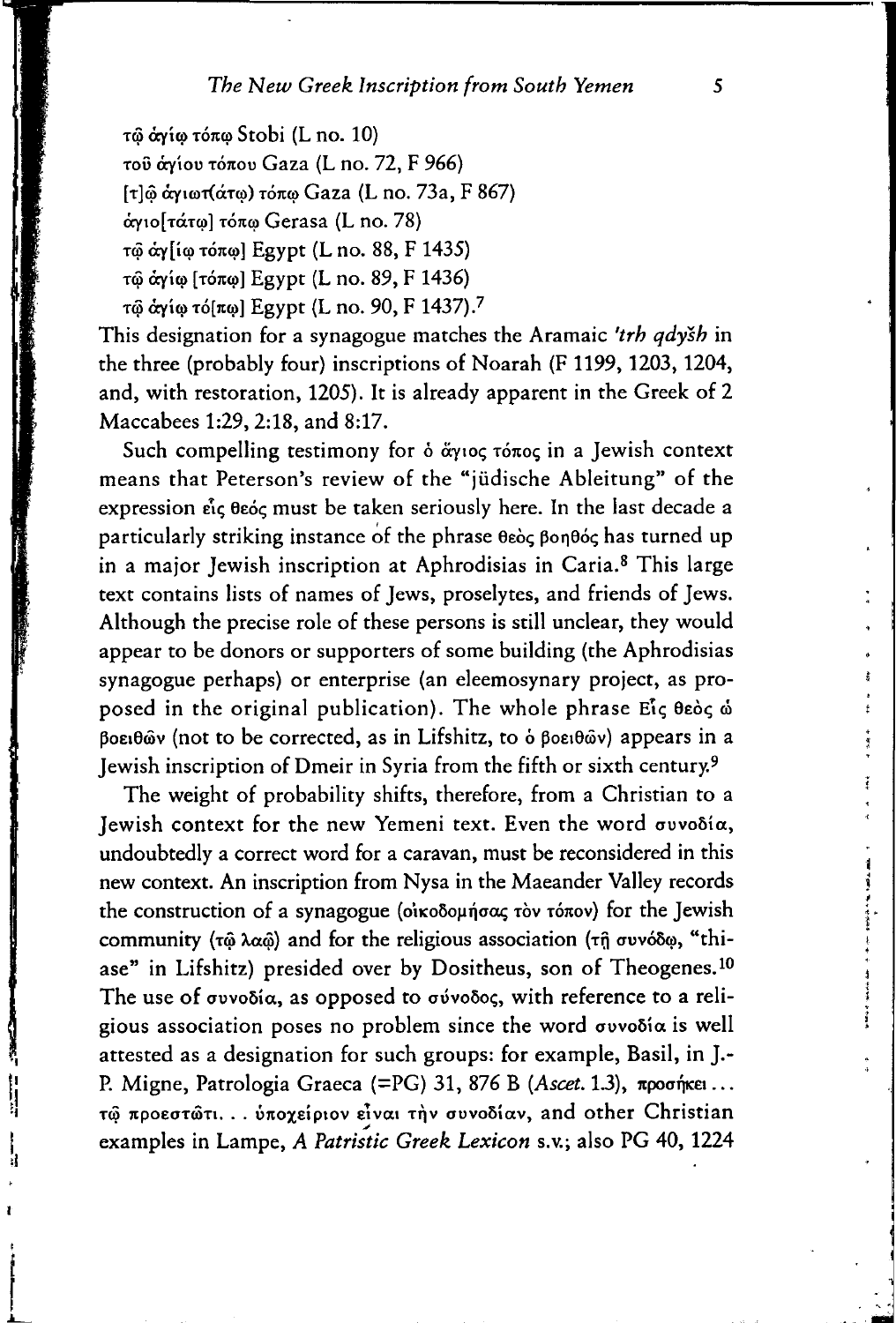τῶ ἀγίω τόπω Stobi (L no. 10) τοῦ ἀγίου τόπου Gaza (L no. 72, F 966)  $[\tau]$ ω άγιωτ(άτω) τόπω Gaza (L no. 73a, F 867) άγιο[τάτω] τόπω Gerasa (L no. 78) τώ άγ[ίω τόπω] Egypt (L no. 88, F 1435) τώ άγίω [τόπω] Egypt (L no. 89, F 1436) τώ άγίω τό[πω] Egypt (L no. 90, F 1437).<sup>7</sup>

This designation for a synagogue matches the Aramaie *'trh qdysh* in the three (probably four) inscriptions of Noarah (F 1199, 1203, 1204, and, with restoration, 1205). lt is already apparent in the Greek of 2 Maccabees 1:29, 2:18, and 8:17.

Such compelling testimony for  $\delta$  *a*ytoc  $\tau$ <sub>o</sub> $\sigma$ cocin a Jewish context means that Peterson's review of the "jüdische Ableitung" of the expression είς θεός must be taken seriously here. In the last decade a particularly striking instance of the phrase θεὸς βοηθός has turned up in a major Jewish inscription at Aphrodisias in Caria.<sup>8</sup> This large text contains lists of names of Jews, proselytes, and friends of Jews. Although the precise role of these persons is still unclear, they would appear to be donors or supporters of some building (the Aphrodisias synagogue perhaps) or enterprise (an eleemosynary project, as proposed in the original publication). The whole phrase  $E_1$ <sup>c</sup>  $\theta$ εός ώ Boειθῶν (not to be corrected, as in Lifshitz, to *b* βoειθῶν) appears in a Jewish inscription of Dmeir in Syria from the fifth or sixth century.9

The weight of probability shifts, therefore, from a Christian to a Jewish context for the new Yemeni text. Even the word συνοδία, undoubtedly a correct word for a caravan, must be reconsidered in this new context. An inscription from Nysa in the Maeander Valley records the construction of a synagogue (οίκοδομήσας τὸν τόπον) for the Jewish community ( $\tau$  $\hat{\omega}$   $\lambda \alpha \hat{\omega}$ ) and for the religious association ( $\tau$  $\hat{\eta}$   $\sigma$ vvó $\delta \omega$ , "thiase" in Lifshitz) presided over by Dositheus, son of Theogenes.<sup>10</sup> The use of  $\sigma$ υνοδία, as opposed to  $\sigma$ ύνοδος, with reference to a religious association poses no problem since the word  $\sigma$ uvo $\delta$ ia is well attested as a designation for such groups: for example, Basil, in J.- P. Migne, Patrologia Graeca (=PG) 31, 876 B (Ascet. 1.3), *npoofficet* ... τώ προεστώτι... ύποχείριον είναι την συνοδίαν, and other Christian examples in Lampe, *A Patristic Greek Lexicon* s.v.; also PG 40, 1224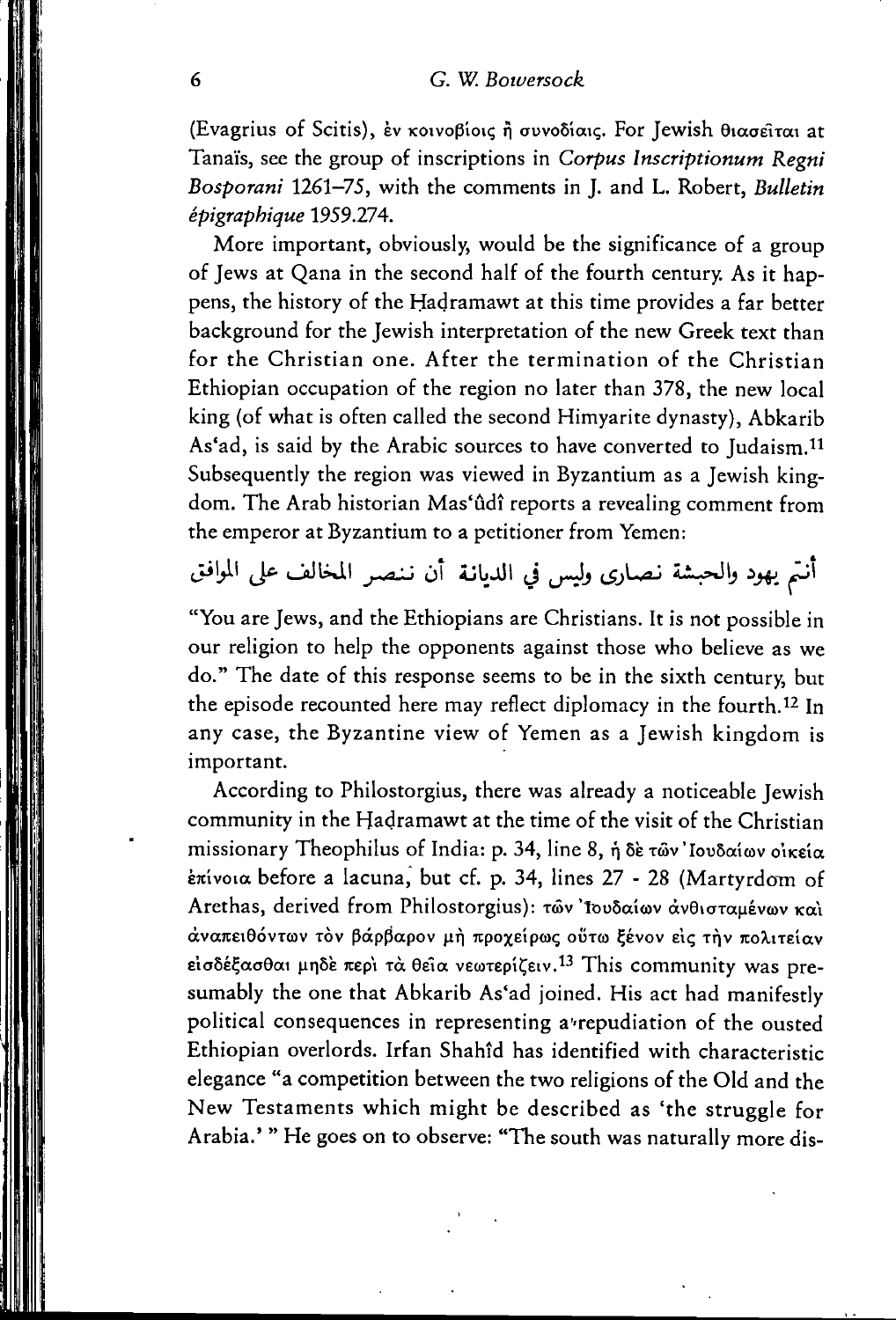(Evagrius of Scitis), εν κοινοβίοις ή συνοδίαις. For Jewish θιασείται at Tanaïs, see the group of inscriptions in Corpus Inscriptionum Regni Bosporani 1261-75, with the comments in J. and L. Robert, Bulletin épigraphique 1959.274.

More important, obviously, would be the significance of a group of Jews at Qana in the second half of the fourth century. As it happens, the history of the Hadramawt at this time provides a far better background for the Jewish interpretation of the new Greek text than for the Christian one. After the termination of the Christian Ethiopian occupation of the region no later than 378, the new local king (of what is often called the second Himyarite dynasty), Abkarib As'ad, is said by the Arabic sources to have converted to Judaism.<sup>11</sup> Subsequently the region was viewed in Byzantium as a Jewish kingdom. The Arab historian Mas'ûdî reports a revealing comment from the emperor at Byzantium to a petitioner from Yemen:

أنتم يهود والحبشة نصارى وليس في الديانة أن ننصر المخالف على الموافق

"You are Jews, and the Ethiopians are Christians. It is not possible in our religion to help the opponents against those who believe as we do." The date of this response seems to be in the sixth century, but the episode recounted here may reflect diplomacy in the fourth.<sup>12</sup> In any case, the Byzantine view of Yemen as a Jewish kingdom is important.

According to Philostorgius, there was already a noticeable Jewish community in the Hadramawt at the time of the visit of the Christian missionary Theophilus of India: p. 34, line 8, ή δε των Ιουδαίων οικεία επίνοια before a lacuna, but cf. p. 34, lines 27 - 28 (Martyrdom of Arethas, derived from Philostorgius): των 'Ιουδαίων άνθισταμένων και αναπειθόντων τον βάρβαρον μή προχείρως ούτω ξένον είς την πολιτείαν εισδέξασθαι μηδέ περί τα θεία νεωτερίζειν.<sup>13</sup> This community was presumably the one that Abkarib As'ad joined. His act had manifestly political consequences in representing a repudiation of the ousted Ethiopian overlords. Irfan Shahîd has identified with characteristic elegance "a competition between the two religions of the Old and the New Testaments which might be described as 'the struggle for Arabia.' "He goes on to observe: "The south was naturally more dis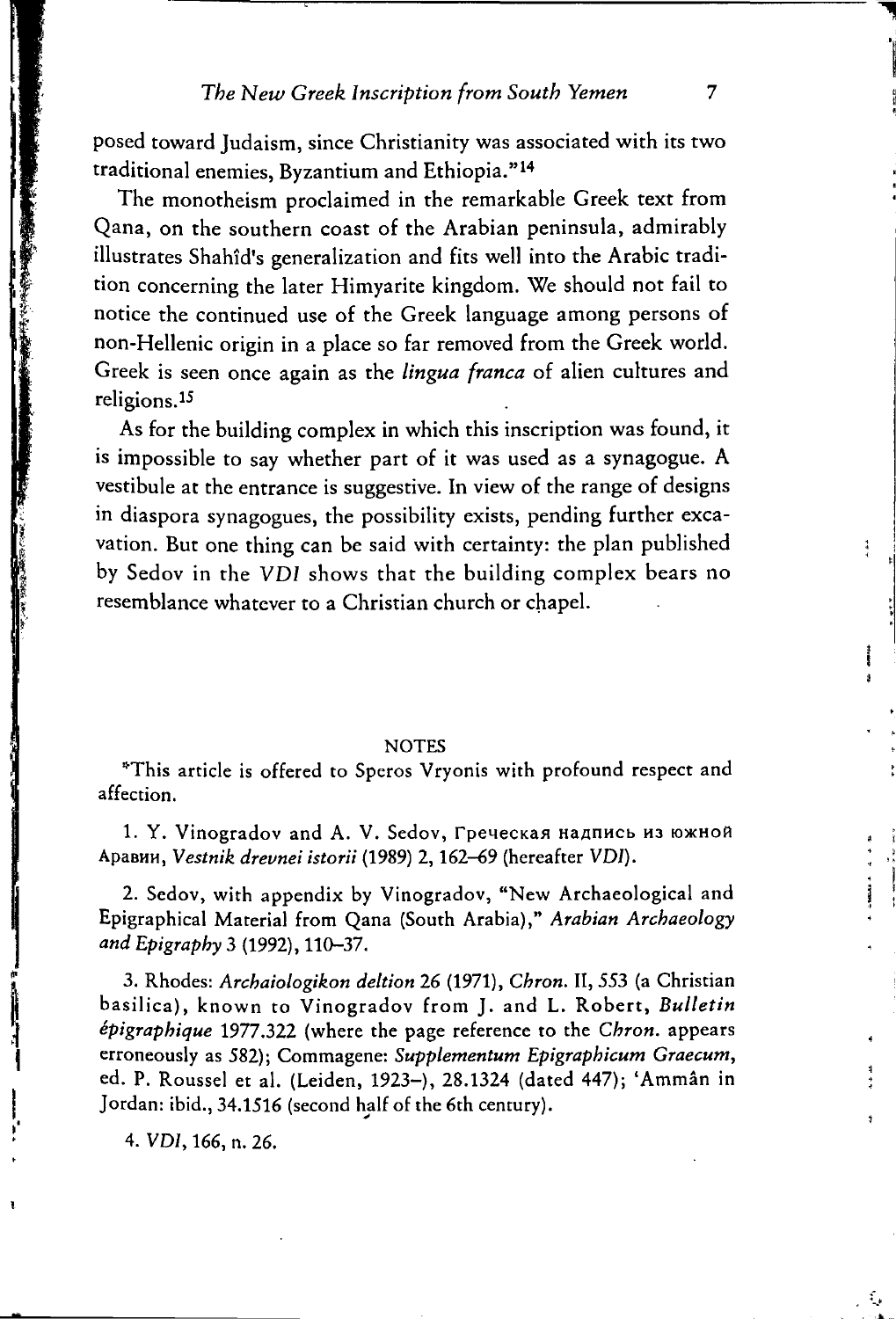posed toward Judaism, since Christianity was associated with its two traditional enemies, Byzantium and Ethiopia."14

The monotheism proclaimed in the remarkable Greek text from Qana, on the southern coast of the Arabian peninsula, admirably illustrates Shahîd's generalization and fits well into the Arabic tradition concerning the later Himyarite kingdom. We should not fail to notice the continued use of the Greek language among persons of non-Hellenie origin in a place so far removed from the Greek world. Greek is seen once again as the *lingua franca* of alien cultures and religions.15

As for the building complex in which this inscription was found, it is impossible to say whether part of it was used as a synagogue. A vestibule at the entrance is suggestive. In view of the range of designs in diaspora synagogues, the possibility exists, pending further excavation. But one thing can be said with certainty: the plan published by Sedov in the VDI shows that the building complex bears no resemblance whatcver to a Christian church or chapel.

## **NOTES**

\*This article is affered to Speros Vryonis with profound respect and affection.

1. Y. Vinogradov and A. V. Sedov, Греческая надпись из южной ApaBHH, *Vestnik drevnei istorii* (1989) 2, 162-69 (hereafter *VDJ).* 

2. Sedov, with appendix by Vinogradov, "New Archaeological and Epigraphical Material from Qana (South Arabia)," *Arabian Archaeology*  and *Epigraphy* 3 (1992), 110-37.

3. Rhodes: *Archaiologikon deltion* 26 (1971), *Chron.* li, 553 (a Christian basilica), known to Vinogradov from J. and L. Robert, *Bulletin epigraphique* 1977.322 (where the page reference to the *Chron.* appears erroneously as 582); Commagene: *Supplementum Epigraphicum Graecum,*  ed. P. Roussel et al. (Leiden, 1923-), 28.1324 (dated 447); 'Ammân in Jordan: ibid., 34.1516 (second half of the 6th century).

4. VDI, 166, n. 26 .

 $\frac{4}{3}$